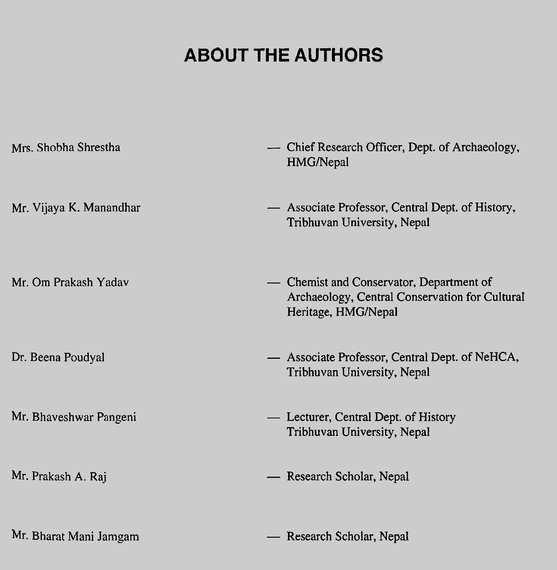## **ABOUT THE AUTHORS**

| Mrs. Shobha Shrestha    | - Chief Research Officer, Dept. of Archaeology,<br>HMG/Nepal                                                      |
|-------------------------|-------------------------------------------------------------------------------------------------------------------|
| Mr. Vijaya K. Manandhar | — Associate Professor, Central Dept. of History,<br>Tribhuvan University, Nepal                                   |
| Mr. Om Prakash Yadav    | - Chemist and Conservator, Department of<br>Archaeology, Central Conservation for Cultural<br>Heritage, HMG/Nepal |
| Dr. Beena Poudyal       | - Associate Professor, Central Dept. of NeHCA,<br>Tribhuvan University, Nepal                                     |
| Mr. Bhaveshwar Pangeni  | - Lecturer, Central Dept. of History<br>Tribhuvan University, Nepal                                               |
| Mr. Prakash A. Raj      | — Research Scholar, Nepal                                                                                         |
| Mr. Bharat Mani Jamgam  | - Research Scholar, Nepal                                                                                         |